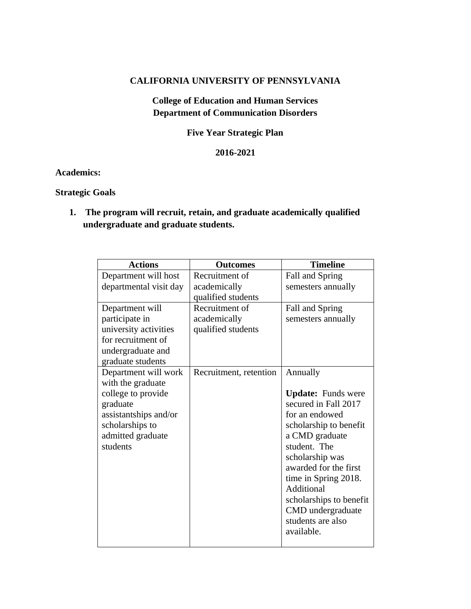### **CALIFORNIA UNIVERSITY OF PENNSYLVANIA**

## **College of Education and Human Services Department of Communication Disorders**

**Five Year Strategic Plan**

### **2016-2021**

### **Academics:**

### **Strategic Goals**

**1. The program will recruit, retain, and graduate academically qualified undergraduate and graduate students.**

| <b>Actions</b>                                                                                                                                           | <b>Outcomes</b>                                      | <b>Timeline</b>                                                                                                                                                                                                                                                                                                  |
|----------------------------------------------------------------------------------------------------------------------------------------------------------|------------------------------------------------------|------------------------------------------------------------------------------------------------------------------------------------------------------------------------------------------------------------------------------------------------------------------------------------------------------------------|
| Department will host<br>departmental visit day                                                                                                           | Recruitment of<br>academically<br>qualified students | Fall and Spring<br>semesters annually                                                                                                                                                                                                                                                                            |
| Department will<br>participate in<br>university activities<br>for recruitment of<br>undergraduate and<br>graduate students                               | Recruitment of<br>academically<br>qualified students | Fall and Spring<br>semesters annually                                                                                                                                                                                                                                                                            |
| Department will work<br>with the graduate<br>college to provide<br>graduate<br>assistantships and/or<br>scholarships to<br>admitted graduate<br>students | Recruitment, retention                               | Annually<br><b>Update:</b> Funds were<br>secured in Fall 2017<br>for an endowed<br>scholarship to benefit<br>a CMD graduate<br>student. The<br>scholarship was<br>awarded for the first<br>time in Spring 2018.<br>Additional<br>scholarships to benefit<br>CMD undergraduate<br>students are also<br>available. |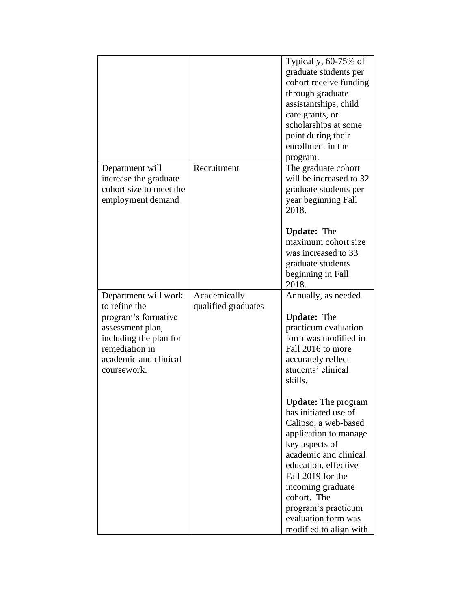|                                                                                                                                                                      |                                     | Typically, 60-75% of<br>graduate students per<br>cohort receive funding<br>through graduate<br>assistantships, child<br>care grants, or<br>scholarships at some<br>point during their<br>enrollment in the<br>program.                                                                                  |
|----------------------------------------------------------------------------------------------------------------------------------------------------------------------|-------------------------------------|---------------------------------------------------------------------------------------------------------------------------------------------------------------------------------------------------------------------------------------------------------------------------------------------------------|
| Department will<br>increase the graduate<br>cohort size to meet the<br>employment demand                                                                             | Recruitment                         | The graduate cohort<br>will be increased to 32<br>graduate students per<br>year beginning Fall<br>2018.                                                                                                                                                                                                 |
|                                                                                                                                                                      |                                     | <b>Update:</b> The<br>maximum cohort size<br>was increased to 33<br>graduate students<br>beginning in Fall<br>2018.                                                                                                                                                                                     |
| Department will work<br>to refine the<br>program's formative<br>assessment plan,<br>including the plan for<br>remediation in<br>academic and clinical<br>coursework. | Academically<br>qualified graduates | Annually, as needed.<br><b>Update:</b> The<br>practicum evaluation<br>form was modified in<br>Fall 2016 to more<br>accurately reflect<br>students' clinical<br>skills.                                                                                                                                  |
|                                                                                                                                                                      |                                     | <b>Update:</b> The program<br>has initiated use of<br>Calipso, a web-based<br>application to manage<br>key aspects of<br>academic and clinical<br>education, effective<br>Fall 2019 for the<br>incoming graduate<br>cohort. The<br>program's practicum<br>evaluation form was<br>modified to align with |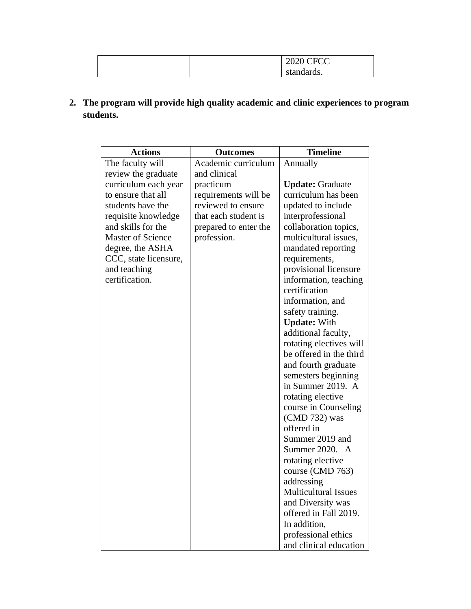|  | $2020$ CECC<br>2020 CFCC |
|--|--------------------------|
|  | standards.               |

**2. The program will provide high quality academic and clinic experiences to program students.**

| <b>Actions</b>           | <b>Outcomes</b>       | <b>Timeline</b>             |
|--------------------------|-----------------------|-----------------------------|
| The faculty will         | Academic curriculum   | Annually                    |
| review the graduate      | and clinical          |                             |
| curriculum each year     | practicum             | <b>Update: Graduate</b>     |
| to ensure that all       | requirements will be  | curriculum has been         |
| students have the        | reviewed to ensure    | updated to include          |
| requisite knowledge      | that each student is  | interprofessional           |
| and skills for the       | prepared to enter the | collaboration topics,       |
| <b>Master of Science</b> | profession.           | multicultural issues,       |
| degree, the ASHA         |                       | mandated reporting          |
| CCC, state licensure,    |                       | requirements,               |
| and teaching             |                       | provisional licensure       |
| certification.           |                       | information, teaching       |
|                          |                       | certification               |
|                          |                       | information, and            |
|                          |                       | safety training.            |
|                          |                       | <b>Update: With</b>         |
|                          |                       | additional faculty,         |
|                          |                       | rotating electives will     |
|                          |                       | be offered in the third     |
|                          |                       | and fourth graduate         |
|                          |                       | semesters beginning         |
|                          |                       | in Summer 2019. A           |
|                          |                       | rotating elective           |
|                          |                       | course in Counseling        |
|                          |                       | (CMD 732) was               |
|                          |                       | offered in                  |
|                          |                       | Summer 2019 and             |
|                          |                       | Summer 2020. A              |
|                          |                       | rotating elective           |
|                          |                       | course (CMD 763)            |
|                          |                       | addressing                  |
|                          |                       | <b>Multicultural Issues</b> |
|                          |                       | and Diversity was           |
|                          |                       | offered in Fall 2019.       |
|                          |                       | In addition,                |
|                          |                       | professional ethics         |
|                          |                       | and clinical education      |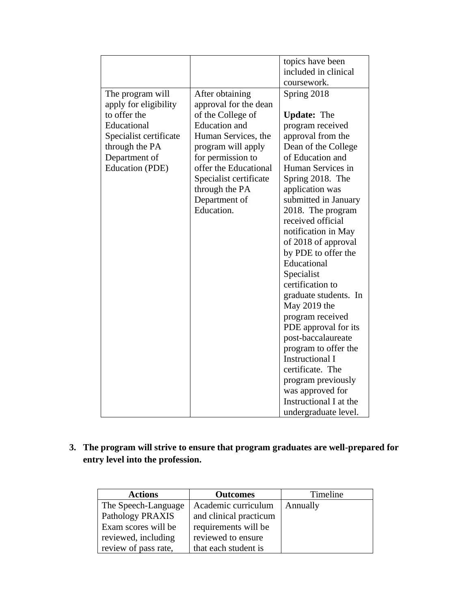|                        |                        | topics have been                   |
|------------------------|------------------------|------------------------------------|
|                        |                        | included in clinical               |
|                        |                        |                                    |
|                        |                        | coursework.                        |
| The program will       | After obtaining        | Spring 2018                        |
| apply for eligibility  | approval for the dean  |                                    |
| to offer the           | of the College of      | <b>Update:</b> The                 |
| Educational            | <b>Education</b> and   | program received                   |
| Specialist certificate | Human Services, the    | approval from the                  |
| through the PA         | program will apply     | Dean of the College                |
| Department of          | for permission to      | of Education and                   |
| Education (PDE)        | offer the Educational  | Human Services in                  |
|                        | Specialist certificate | Spring 2018. The                   |
|                        | through the PA         | application was                    |
|                        | Department of          | submitted in January               |
|                        | Education.             | 2018. The program                  |
|                        |                        | received official                  |
|                        |                        | notification in May                |
|                        |                        | of 2018 of approval                |
|                        |                        |                                    |
|                        |                        | by PDE to offer the<br>Educational |
|                        |                        |                                    |
|                        |                        | Specialist                         |
|                        |                        | certification to                   |
|                        |                        | graduate students. In              |
|                        |                        | May $2019$ the                     |
|                        |                        | program received                   |
|                        |                        | PDE approval for its               |
|                        |                        | post-baccalaureate                 |
|                        |                        | program to offer the               |
|                        |                        | <b>Instructional I</b>             |
|                        |                        | certificate. The                   |
|                        |                        | program previously                 |
|                        |                        | was approved for                   |
|                        |                        | Instructional I at the             |
|                        |                        | undergraduate level.               |

# **3. The program will strive to ensure that program graduates are well-prepared for entry level into the profession.**

| <b>Actions</b>       | <b>Outcomes</b>        | Timeline |
|----------------------|------------------------|----------|
| The Speech-Language  | Academic curriculum    | Annually |
| Pathology PRAXIS     | and clinical practicum |          |
| Exam scores will be  | requirements will be   |          |
| reviewed, including  | reviewed to ensure     |          |
| review of pass rate, | that each student is   |          |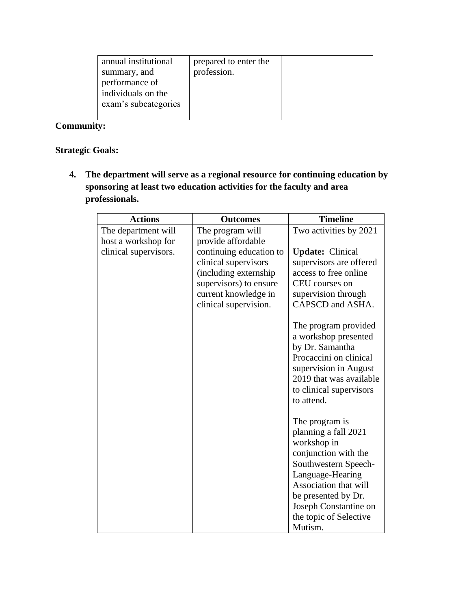| annual institutional<br>summary, and<br>performance of<br>individuals on the<br>exam's subcategories | prepared to enter the<br>profession. |  |
|------------------------------------------------------------------------------------------------------|--------------------------------------|--|
|                                                                                                      |                                      |  |
|                                                                                                      |                                      |  |

# **Community:**

# **Strategic Goals:**

**4. The department will serve as a regional resource for continuing education by sponsoring at least two education activities for the faculty and area professionals.** 

| <b>Actions</b>                             | <b>Outcomes</b>                                                                                                                                     | <b>Timeline</b>                                                                                                                                                                                                                         |
|--------------------------------------------|-----------------------------------------------------------------------------------------------------------------------------------------------------|-----------------------------------------------------------------------------------------------------------------------------------------------------------------------------------------------------------------------------------------|
| The department will<br>host a workshop for | The program will<br>provide affordable                                                                                                              | Two activities by 2021                                                                                                                                                                                                                  |
| clinical supervisors.                      | continuing education to<br>clinical supervisors<br>(including externship<br>supervisors) to ensure<br>current knowledge in<br>clinical supervision. | <b>Update:</b> Clinical<br>supervisors are offered<br>access to free online<br>CEU courses on<br>supervision through<br>CAPSCD and ASHA.                                                                                                |
|                                            |                                                                                                                                                     | The program provided<br>a workshop presented<br>by Dr. Samantha<br>Procaccini on clinical<br>supervision in August<br>2019 that was available<br>to clinical supervisors<br>to attend.                                                  |
|                                            |                                                                                                                                                     | The program is<br>planning a fall 2021<br>workshop in<br>conjunction with the<br>Southwestern Speech-<br>Language-Hearing<br>Association that will<br>be presented by Dr.<br>Joseph Constantine on<br>the topic of Selective<br>Mutism. |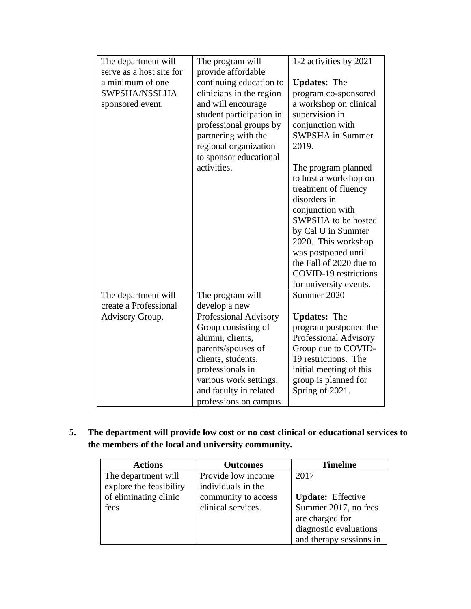| The department will      | The program will         | 1-2 activities by 2021  |
|--------------------------|--------------------------|-------------------------|
| serve as a host site for | provide affordable       |                         |
| a minimum of one         | continuing education to  | <b>Updates:</b> The     |
| SWPSHA/NSSLHA            | clinicians in the region | program co-sponsored    |
| sponsored event.         | and will encourage       | a workshop on clinical  |
|                          | student participation in | supervision in          |
|                          | professional groups by   | conjunction with        |
|                          | partnering with the      | <b>SWPSHA</b> in Summer |
|                          | regional organization    | 2019.                   |
|                          | to sponsor educational   |                         |
|                          | activities.              | The program planned     |
|                          |                          | to host a workshop on   |
|                          |                          | treatment of fluency    |
|                          |                          | disorders in            |
|                          |                          | conjunction with        |
|                          |                          | SWPSHA to be hosted     |
|                          |                          | by Cal U in Summer      |
|                          |                          | 2020. This workshop     |
|                          |                          | was postponed until     |
|                          |                          | the Fall of 2020 due to |
|                          |                          | COVID-19 restrictions   |
|                          |                          | for university events.  |
| The department will      | The program will         | Summer 2020             |
| create a Professional    | develop a new            |                         |
| Advisory Group.          | Professional Advisory    | <b>Updates:</b> The     |
|                          | Group consisting of      | program postponed the   |
|                          | alumni, clients,         | Professional Advisory   |
|                          | parents/spouses of       | Group due to COVID-     |
|                          | clients, students,       | 19 restrictions. The    |
|                          | professionals in         | initial meeting of this |
|                          | various work settings,   | group is planned for    |
|                          | and faculty in related   | Spring of 2021.         |
|                          | professions on campus.   |                         |

**5. The department will provide low cost or no cost clinical or educational services to the members of the local and university community.** 

| <b>Actions</b>          | <b>Outcomes</b>     | <b>Timeline</b>          |
|-------------------------|---------------------|--------------------------|
| The department will     | Provide low income  | 2017                     |
| explore the feasibility | individuals in the  |                          |
| of eliminating clinic   | community to access | <b>Update:</b> Effective |
| fees                    | clinical services.  | Summer 2017, no fees     |
|                         |                     | are charged for          |
|                         |                     | diagnostic evaluations   |
|                         |                     | and therapy sessions in  |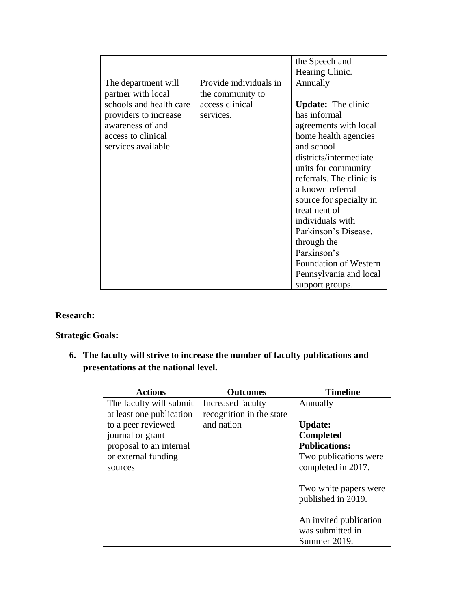|                         |                        | the Speech and            |
|-------------------------|------------------------|---------------------------|
|                         |                        | Hearing Clinic.           |
| The department will     | Provide individuals in | Annually                  |
| partner with local      | the community to       |                           |
| schools and health care | access clinical        | <b>Update:</b> The clinic |
| providers to increase   | services.              | has informal              |
| awareness of and        |                        | agreements with local     |
| access to clinical      |                        | home health agencies      |
| services available.     |                        | and school                |
|                         |                        | districts/intermediate    |
|                         |                        | units for community       |
|                         |                        | referrals. The clinic is  |
|                         |                        | a known referral          |
|                         |                        | source for specialty in   |
|                         |                        | treatment of              |
|                         |                        | individuals with          |
|                         |                        | Parkinson's Disease.      |
|                         |                        | through the               |
|                         |                        | Parkinson's               |
|                         |                        | Foundation of Western     |
|                         |                        | Pennsylvania and local    |
|                         |                        | support groups.           |

# **Research:**

### **Strategic Goals:**

**6. The faculty will strive to increase the number of faculty publications and presentations at the national level.**

| <b>Actions</b>           | <b>Outcomes</b>          | <b>Timeline</b>                                            |
|--------------------------|--------------------------|------------------------------------------------------------|
| The faculty will submit  | Increased faculty        | Annually                                                   |
| at least one publication | recognition in the state |                                                            |
| to a peer reviewed       | and nation               | <b>Update:</b>                                             |
| journal or grant         |                          | <b>Completed</b>                                           |
| proposal to an internal  |                          | <b>Publications:</b>                                       |
| or external funding      |                          | Two publications were                                      |
| sources                  |                          | completed in 2017.                                         |
|                          |                          | Two white papers were<br>published in 2019.                |
|                          |                          | An invited publication<br>was submitted in<br>Summer 2019. |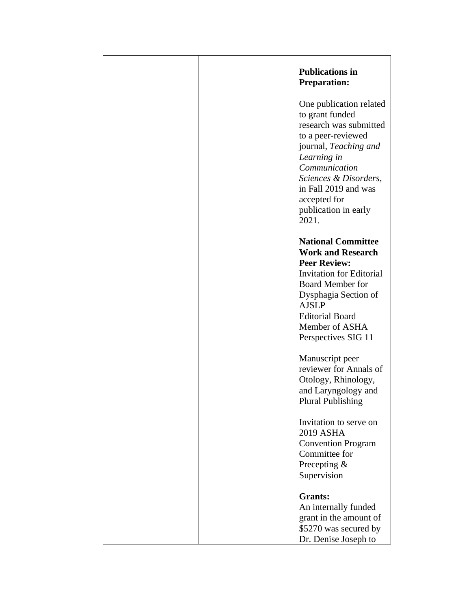|  | <b>Publications in</b><br><b>Preparation:</b>                                                                                                                                                                                                         |
|--|-------------------------------------------------------------------------------------------------------------------------------------------------------------------------------------------------------------------------------------------------------|
|  | One publication related<br>to grant funded<br>research was submitted<br>to a peer-reviewed<br>journal, Teaching and<br>Learning in<br>Communication<br>Sciences & Disorders,<br>in Fall 2019 and was<br>accepted for<br>publication in early<br>2021. |
|  | <b>National Committee</b><br><b>Work and Research</b><br><b>Peer Review:</b><br><b>Invitation for Editorial</b><br><b>Board Member for</b><br>Dysphagia Section of<br><b>AJSLP</b><br><b>Editorial Board</b><br>Member of ASHA<br>Perspectives SIG 11 |
|  | Manuscript peer<br>reviewer for Annals of<br>Otology, Rhinology,<br>and Laryngology and<br><b>Plural Publishing</b>                                                                                                                                   |
|  | Invitation to serve on<br><b>2019 ASHA</b><br><b>Convention Program</b><br>Committee for<br>Precepting &<br>Supervision                                                                                                                               |
|  | <b>Grants:</b><br>An internally funded<br>grant in the amount of<br>\$5270 was secured by<br>Dr. Denise Joseph to                                                                                                                                     |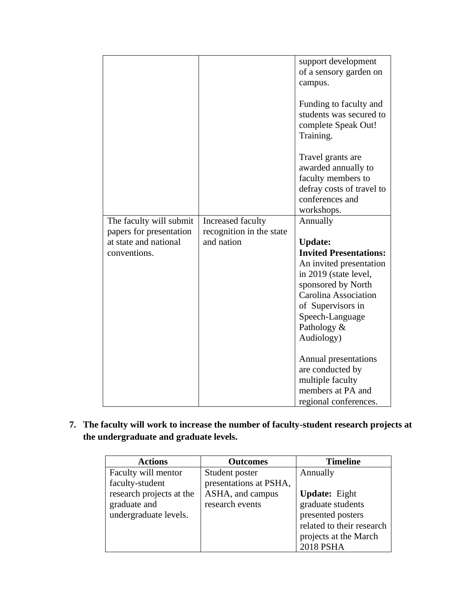|                         |                          | support development                                                                   |
|-------------------------|--------------------------|---------------------------------------------------------------------------------------|
|                         |                          | of a sensory garden on                                                                |
|                         |                          |                                                                                       |
|                         |                          | campus.                                                                               |
|                         |                          | Funding to faculty and<br>students was secured to<br>complete Speak Out!<br>Training. |
|                         |                          | Travel grants are<br>awarded annually to<br>faculty members to                        |
|                         |                          | defray costs of travel to                                                             |
|                         |                          | conferences and                                                                       |
|                         |                          |                                                                                       |
|                         |                          | workshops.                                                                            |
| The faculty will submit | Increased faculty        | Annually                                                                              |
| papers for presentation | recognition in the state |                                                                                       |
| at state and national   | and nation               | <b>Update:</b>                                                                        |
| conventions.            |                          | <b>Invited Presentations:</b>                                                         |
|                         |                          | An invited presentation                                                               |
|                         |                          | in 2019 (state level,                                                                 |
|                         |                          |                                                                                       |
|                         |                          | sponsored by North                                                                    |
|                         |                          | Carolina Association                                                                  |
|                         |                          | of Supervisors in                                                                     |
|                         |                          | Speech-Language                                                                       |
|                         |                          | Pathology &                                                                           |
|                         |                          | Audiology)                                                                            |
|                         |                          |                                                                                       |
|                         |                          | Annual presentations                                                                  |
|                         |                          |                                                                                       |
|                         |                          |                                                                                       |
|                         |                          | are conducted by                                                                      |
|                         |                          | multiple faculty                                                                      |
|                         |                          | members at PA and<br>regional conferences.                                            |

**7. The faculty will work to increase the number of faculty-student research projects at the undergraduate and graduate levels.**

| <b>Actions</b>           | <b>Outcomes</b>        | <b>Timeline</b>           |
|--------------------------|------------------------|---------------------------|
| Faculty will mentor      | Student poster         | Annually                  |
| faculty-student          | presentations at PSHA, |                           |
| research projects at the | ASHA, and campus       | <b>Update:</b> Eight      |
| graduate and             | research events        | graduate students         |
| undergraduate levels.    |                        | presented posters         |
|                          |                        | related to their research |
|                          |                        | projects at the March     |
|                          |                        | <b>2018 PSHA</b>          |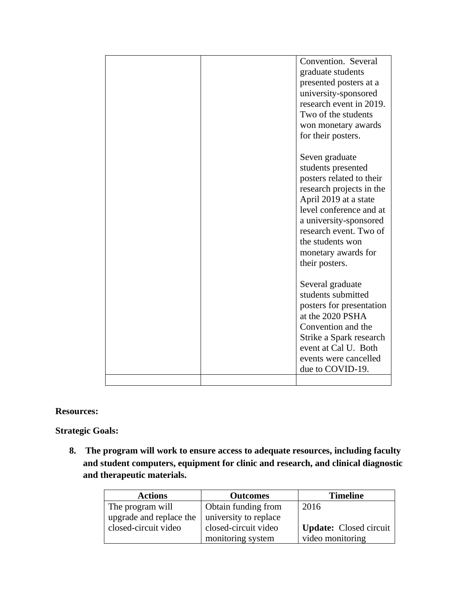|  | Convention. Several<br>graduate students<br>presented posters at a<br>university-sponsored<br>research event in 2019.<br>Two of the students<br>won monetary awards<br>for their posters.                                                                         |
|--|-------------------------------------------------------------------------------------------------------------------------------------------------------------------------------------------------------------------------------------------------------------------|
|  | Seven graduate<br>students presented<br>posters related to their<br>research projects in the<br>April 2019 at a state<br>level conference and at<br>a university-sponsored<br>research event. Two of<br>the students won<br>monetary awards for<br>their posters. |
|  | Several graduate<br>students submitted<br>posters for presentation<br>at the 2020 PSHA<br>Convention and the<br>Strike a Spark research<br>event at Cal U. Both<br>events were cancelled<br>due to COVID-19.                                                      |
|  |                                                                                                                                                                                                                                                                   |

#### **Resources:**

**Strategic Goals:**

**8. The program will work to ensure access to adequate resources, including faculty and student computers, equipment for clinic and research, and clinical diagnostic and therapeutic materials.**

| <b>Actions</b>          | <b>Outcomes</b>       | <b>Timeline</b>               |
|-------------------------|-----------------------|-------------------------------|
| The program will        | Obtain funding from   | 2016                          |
| upgrade and replace the | university to replace |                               |
| closed-circuit video    | closed-circuit video  | <b>Update:</b> Closed circuit |
|                         | monitoring system     | video monitoring              |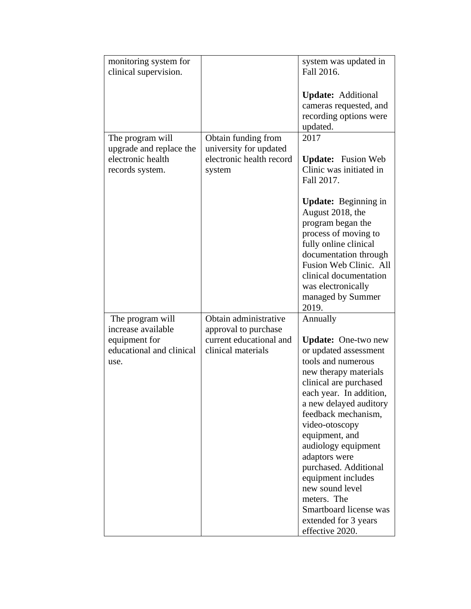| monitoring system for<br>clinical supervision.                                              |                                                                                                | system was updated in<br>Fall 2016.                                                                                                                                                                                                                                                                                                                                                                                                                    |
|---------------------------------------------------------------------------------------------|------------------------------------------------------------------------------------------------|--------------------------------------------------------------------------------------------------------------------------------------------------------------------------------------------------------------------------------------------------------------------------------------------------------------------------------------------------------------------------------------------------------------------------------------------------------|
|                                                                                             |                                                                                                | <b>Update:</b> Additional<br>cameras requested, and<br>recording options were<br>updated.                                                                                                                                                                                                                                                                                                                                                              |
| The program will<br>upgrade and replace the<br>electronic health<br>records system.         | Obtain funding from<br>university for updated<br>electronic health record<br>system            | 2017<br><b>Update:</b> Fusion Web<br>Clinic was initiated in<br>Fall 2017.<br><b>Update:</b> Beginning in<br>August 2018, the<br>program began the<br>process of moving to<br>fully online clinical<br>documentation through<br>Fusion Web Clinic. All<br>clinical documentation<br>was electronically<br>managed by Summer<br>2019.                                                                                                                   |
| The program will<br>increase available<br>equipment for<br>educational and clinical<br>use. | Obtain administrative<br>approval to purchase<br>current educational and<br>clinical materials | Annually<br><b>Update:</b> One-two new<br>or updated assessment<br>tools and numerous<br>new therapy materials<br>clinical are purchased<br>each year. In addition,<br>a new delayed auditory<br>feedback mechanism,<br>video-otoscopy<br>equipment, and<br>audiology equipment<br>adaptors were<br>purchased. Additional<br>equipment includes<br>new sound level<br>meters. The<br>Smartboard license was<br>extended for 3 years<br>effective 2020. |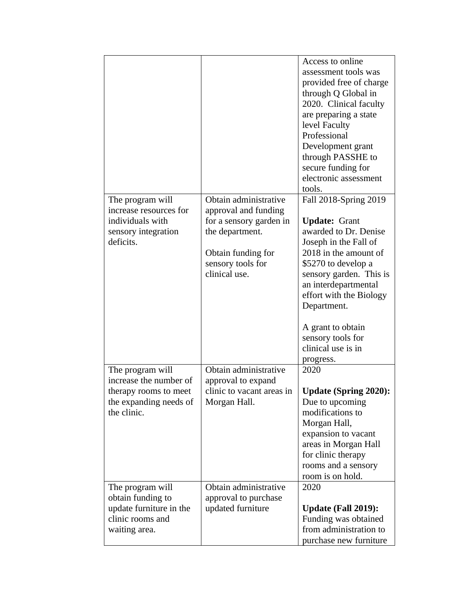|                                                                                                              |                                                                                                                                                         | Access to online<br>assessment tools was<br>provided free of charge<br>through Q Global in<br>2020. Clinical faculty<br>are preparing a state<br>level Faculty<br>Professional<br>Development grant<br>through PASSHE to<br>secure funding for<br>electronic assessment<br>tools.                                         |
|--------------------------------------------------------------------------------------------------------------|---------------------------------------------------------------------------------------------------------------------------------------------------------|---------------------------------------------------------------------------------------------------------------------------------------------------------------------------------------------------------------------------------------------------------------------------------------------------------------------------|
| The program will<br>increase resources for<br>individuals with<br>sensory integration<br>deficits.           | Obtain administrative<br>approval and funding<br>for a sensory garden in<br>the department.<br>Obtain funding for<br>sensory tools for<br>clinical use. | Fall 2018-Spring 2019<br><b>Update: Grant</b><br>awarded to Dr. Denise<br>Joseph in the Fall of<br>2018 in the amount of<br>\$5270 to develop a<br>sensory garden. This is<br>an interdepartmental<br>effort with the Biology<br>Department.<br>A grant to obtain<br>sensory tools for<br>clinical use is in<br>progress. |
| The program will<br>increase the number of<br>therapy rooms to meet<br>the expanding needs of<br>the clinic. | Obtain administrative<br>approval to expand<br>clinic to vacant areas in<br>Morgan Hall.                                                                | 2020<br><b>Update (Spring 2020):</b><br>Due to upcoming<br>modifications to<br>Morgan Hall,<br>expansion to vacant<br>areas in Morgan Hall<br>for clinic therapy<br>rooms and a sensory<br>room is on hold.                                                                                                               |
| The program will<br>obtain funding to<br>update furniture in the<br>clinic rooms and<br>waiting area.        | Obtain administrative<br>approval to purchase<br>updated furniture                                                                                      | 2020<br><b>Update (Fall 2019):</b><br>Funding was obtained<br>from administration to<br>purchase new furniture                                                                                                                                                                                                            |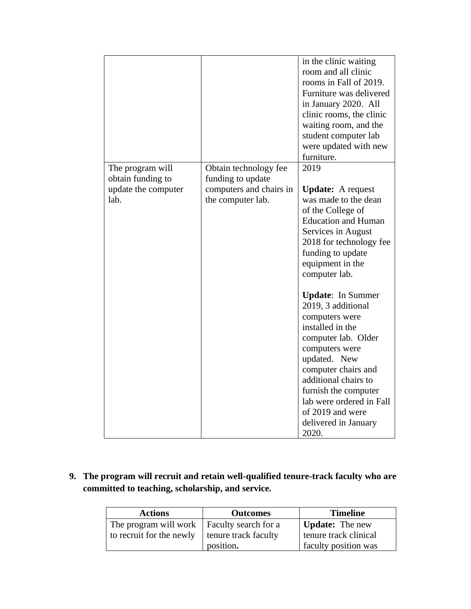|                                       |                                              | in the clinic waiting<br>room and all clinic<br>rooms in Fall of 2019.<br>Furniture was delivered<br>in January 2020. All<br>clinic rooms, the clinic<br>waiting room, and the<br>student computer lab                                                                                                                                                                                                                                                                                                                  |
|---------------------------------------|----------------------------------------------|-------------------------------------------------------------------------------------------------------------------------------------------------------------------------------------------------------------------------------------------------------------------------------------------------------------------------------------------------------------------------------------------------------------------------------------------------------------------------------------------------------------------------|
|                                       |                                              | were updated with new<br>furniture.                                                                                                                                                                                                                                                                                                                                                                                                                                                                                     |
| The program will<br>obtain funding to | Obtain technology fee<br>funding to update   | 2019                                                                                                                                                                                                                                                                                                                                                                                                                                                                                                                    |
| update the computer<br>lab.           | computers and chairs in<br>the computer lab. | <b>Update:</b> A request<br>was made to the dean<br>of the College of<br><b>Education and Human</b><br>Services in August<br>2018 for technology fee<br>funding to update<br>equipment in the<br>computer lab.<br><b>Update:</b> In Summer<br>2019, 3 additional<br>computers were<br>installed in the<br>computer lab. Older<br>computers were<br>updated. New<br>computer chairs and<br>additional chairs to<br>furnish the computer<br>lab were ordered in Fall<br>of 2019 and were<br>delivered in January<br>2020. |

**9. The program will recruit and retain well-qualified tenure-track faculty who are committed to teaching, scholarship, and service.** 

| <b>Actions</b>                                        | <b>Outcomes</b> | <b>Timeline</b>        |
|-------------------------------------------------------|-----------------|------------------------|
| The program will work   Faculty search for a          |                 | <b>Update:</b> The new |
| to recruit for the newly $\vert$ tenure track faculty |                 | tenure track clinical  |
|                                                       | position.       | faculty position was   |